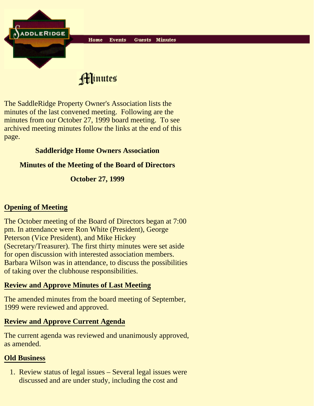

Hinutes

The SaddleRidge Property Owner's Association lists the minutes of the last convened meeting. Following are the minutes from our October 27, 1999 board meeting. To see archived meeting minutes follow the links at the end of this page.

### **Saddleridge Home Owners Association**

### **Minutes of the Meeting of the Board of Directors**

## **October 27, 1999**

# **Opening of Meeting**

The October meeting of the Board of Directors began at 7:00 pm. In attendance were Ron White (President), George Peterson (Vice President), and Mike Hickey (Secretary/Treasurer). The first thirty minutes were set aside for open discussion with interested association members. Barbara Wilson was in attendance, to discuss the possibilities of taking over the clubhouse responsibilities.

#### **Review and Approve Minutes of Last Meeting**

The amended minutes from the board meeting of September, 1999 were reviewed and approved.

## **Review and Approve Current Agenda**

The current agenda was reviewed and unanimously approved, as amended.

## **Old Business**

1. Review status of legal issues - Several legal issues were discussed and are under study, including the cost and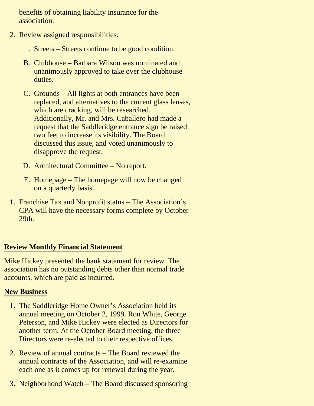benefits of obtaining liability insurance for the association.

- 2. Review assigned responsibilities:
	- . Streets Streets continue to be good condition.
	- Clubhouse Barbara Wilson was nominated and B. unanimously approved to take over the clubhouse duties.
	- C. Grounds All lights at both entrances have been replaced, and alternatives to the current glass lenses, which are cracking, will be researched. Additionally, Mr. and Mrs. Caballero had made a request that the Saddleridge entrance sign be raised two feet to increase its visibility. The Board discussed this issue, and voted unanimously to disapprove the request,
	- D. Architectural Committee No report.
	- E. Homepage The homepage will now be changed on a quarterly basis..
- 1. Franchise Tax and Nonprofit status The Association's CPA will have the necessary forms complete by October 29th.

#### **Review Monthly Financial Statement**

Mike Hickey presented the bank statement for review. The association has no outstanding debts other than normal trade accounts, which are paid as incurred.

#### **New Business**

- 1. The Saddleridge Home Owner's Association held its annual meeting on October 2, 1999. Ron White, George Peterson, and Mike Hickey were elected as Directors for another term. At the October Board meeting, the three Directors were re-elected to their respective offices.
- 2. Review of annual contracts The Board reviewed the annual contracts of the Association, and will re-examine each one as it comes up for renewal during the year.
- 3. Neighborhood Watch The Board discussed sponsoring